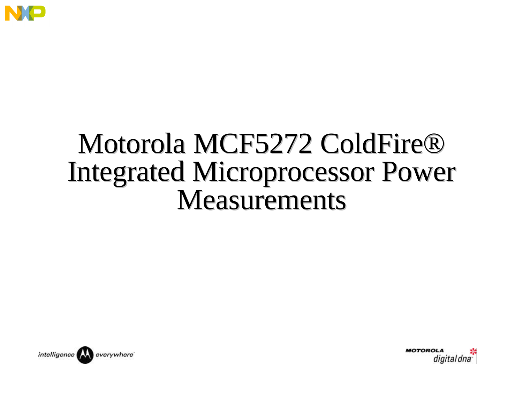

## Motorola MCF5272 ColdFire® Integrated Microprocessor Power Measurements



**MOTOROLA** digital dna